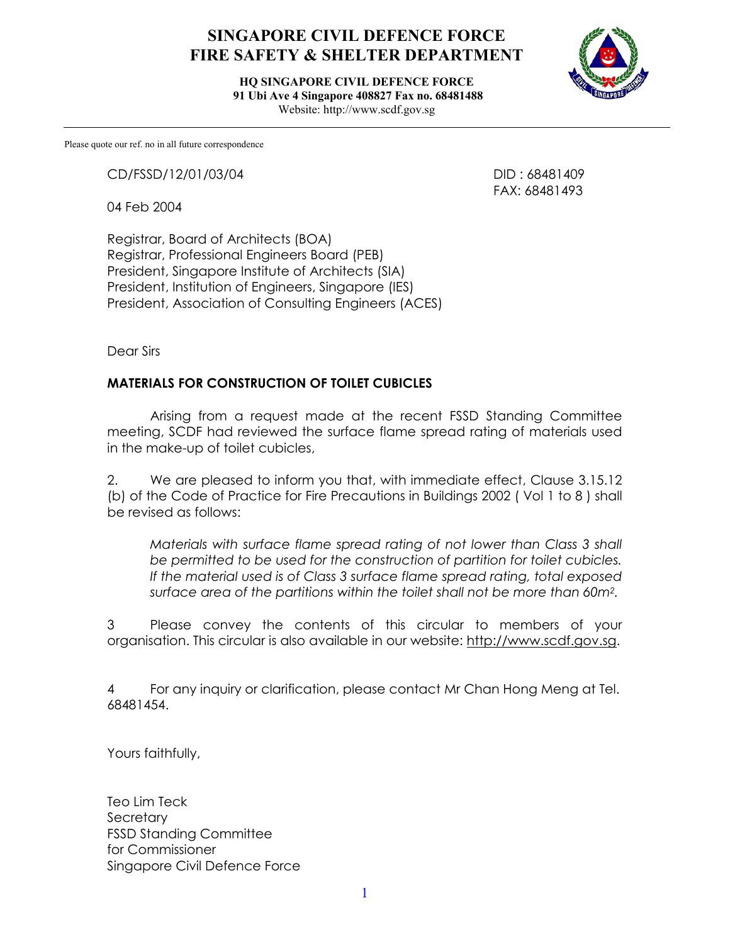## **SINGAPORE CIVIL DEFENCE FORCE FIRE SAFETY & SHELTER DEPARTMENT**

**HQ SINGAPORE CIVIL DEFENCE FORCE 91 Ubi Ave 4 Singapore 408827 Fax no. 68481488**  Website: http://www.scdf.gov.sg



Please quote our ref. no in all future correspondence

CD/FSSD/12/01/03/04 DID : 68481409

04 Feb 2004

FAX: 68481493

Registrar, Board of Architects (BOA) Registrar, Professional Engineers Board (PEB) President, Singapore Institute of Architects (SIA) President, Institution of Engineers, Singapore (IES) President, Association of Consulting Engineers (ACES)

Dear Sirs

## **MATERIALS FOR CONSTRUCTION OF TOILET CUBICLES**

 Arising from a request made at the recent FSSD Standing Committee meeting, SCDF had reviewed the surface flame spread rating of materials used in the make-up of toilet cubicles,

2. We are pleased to inform you that, with immediate effect, Clause 3.15.12 (b) of the Code of Practice for Fire Precautions in Buildings 2002 ( Vol 1 to 8 ) shall be revised as follows:

*Materials with surface flame spread rating of not lower than Class 3 shall be permitted to be used for the construction of partition for toilet cubicles. If the material used is of Class 3 surface flame spread rating, total exposed surface area of the partitions within the toilet shall not be more than 60m2.* 

3 Please convey the contents of this circular to members of your organisation. This circular is also available in our website: http://www.scdf.gov.sg.

4 For any inquiry or clarification, please contact Mr Chan Hong Meng at Tel. 68481454.

Yours faithfully,

Teo Lim Teck **Secretary** FSSD Standing Committee for Commissioner Singapore Civil Defence Force